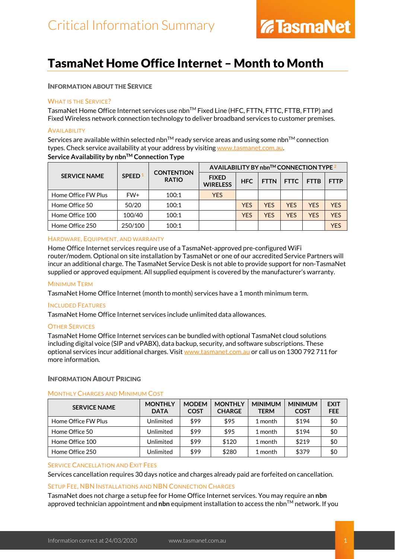## TasmaNet Home Office Internet – Month to Month

#### INFORMATION ABOUT THE SERVICE

#### WHAT IS THE SERVICE?

TasmaNet Home Office Internet services use nbn™ Fixed Line (HFC, FTTN, FTTC, FTTB, FTTP) and Fixed Wireless network connection technology to deliver broadband services to customer premises.

#### **AVAILABILITY**

Services are available within selected nbn<sup>TM</sup> ready service areas and using some nbn<sup>TM</sup> connection types. Check service availability at your address by visiting [www.tasmanet.com.au.](https://www.tasmanet.com.au/) **Service Availability by nbn™ Connection Type** 

| <b>SERVICE NAME</b> | SPEED <sup>1</sup> | <b>CONTENTION</b><br><b>RATIO</b> | AVAILABILITY BY nbn™ CONNECTION TYPE <sup>2</sup> |            |             |             |             |             |
|---------------------|--------------------|-----------------------------------|---------------------------------------------------|------------|-------------|-------------|-------------|-------------|
|                     |                    |                                   | <b>FIXED</b><br><b>WIRELESS</b>                   | <b>HFC</b> | <b>FTTN</b> | <b>FTTC</b> | <b>FTTB</b> | <b>FTTP</b> |
| Home Office FW Plus | FW+                | 100:1                             | <b>YES</b>                                        |            |             |             |             |             |
| Home Office 50      | 50/20              | 100:1                             |                                                   | <b>YES</b> | <b>YES</b>  | <b>YES</b>  | <b>YES</b>  | <b>YFS</b>  |
| Home Office 100     | 100/40             | 100:1                             |                                                   | <b>YES</b> | <b>YES</b>  | <b>YFS</b>  | <b>YFS</b>  | <b>YFS</b>  |
| Home Office 250     | 250/100            | 100:1                             |                                                   |            |             |             |             | YFS         |

#### HARDWARE, EQUIPMENT, AND WARRANTY

Home Office Internet services require use of a TasmaNet-approved pre-configured WiFi router/modem. Optional on site installation by TasmaNet or one of our accredited Service Partners will incur an additional charge. The TasmaNet Service Desk is not able to provide support for non-TasmaNet supplied or approved equipment. All supplied equipment is covered by the manufacturer's warranty.

#### MINIMUM TERM

TasmaNet Home Office Internet (month to month) services have a 1 month minimum term.

#### INCLUDED FEATURES

TasmaNet Home Office Internet services include unlimited data allowances.

#### OTHER SERVICES

TasmaNet Home Office Internet services can be bundled with optional TasmaNet cloud solutions including digital voice (SIP and vPABX), data backup, security, and software subscriptions. These optional services incur additional charges. Visi[t www.tasmanet.com.au](http://www.tasmanet.com.au/) or call us on 1300 792 711 for more information.

#### INFORMATION ABOUT PRICING

### MONTHLY CHARGES AND MINIMUM COST

| <b>SERVICE NAME</b> | <b>MONTHLY</b><br><b>DATA</b> | <b>MODEM</b><br><b>COST</b> | <b>MONTHLY</b><br><b>CHARGE</b> | <b>MINIMUM</b><br><b>TERM</b> | <b>MINIMUM</b><br><b>COST</b> | <b>EXIT</b><br><b>FEE</b> |
|---------------------|-------------------------------|-----------------------------|---------------------------------|-------------------------------|-------------------------------|---------------------------|
| Home Office FW Plus | Unlimited                     | \$99                        | \$95                            | 1 month                       | \$194                         | \$0                       |
| Home Office 50      | Unlimited                     | \$99                        | \$95                            | 1 month                       | \$194                         | \$0                       |
| Home Office 100     | Unlimited                     | \$99                        | \$120                           | 1 month                       | \$219                         | \$0                       |
| Home Office 250     | Unlimited                     | \$99                        | \$280                           | 1 month                       | \$379                         | \$0                       |

#### SERVICE CANCELLATION AND EXIT FEES

Services cancellation requires 30 days notice and charges already paid are forfeited on cancellation.

#### SETUP FEE, NBN INSTALLATIONS AND NBN CONNECTION CHARGES

TasmaNet does not charge a setup fee for Home Office Internet services. You may require an **nbn** approved technician appointment and **nbn** equipment installation to access the nbn<sup>TM</sup> network. If you